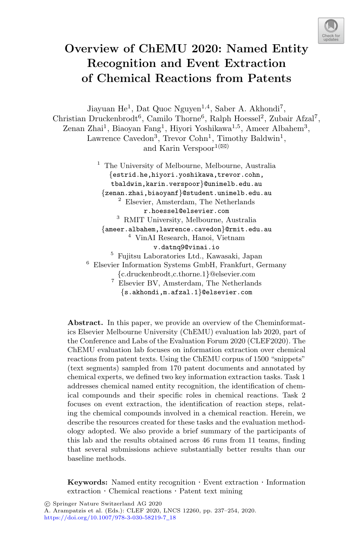

# **Overview of ChEMU 2020: Named Entity Recognition and Event Extraction of Chemical Reactions from Patents**

Jiayuan He<sup>1</sup>, Dat Quoc Nguyen<sup>1,4</sup>, Saber A. Akhondi<sup>7</sup>, Christian Druckenbrodt<sup>6</sup>, Camilo Thorne<sup>6</sup>, Ralph Hoessel<sup>2</sup>, Zubair Afzal<sup>7</sup>, Zenan Zhai<sup>1</sup>, Biaoyan Fang<sup>1</sup>, Hiyori Yoshikawa<sup>1,5</sup>, Ameer Albahem<sup>3</sup>, Lawrence Cavedon<sup>3</sup>, Trevor Cohn<sup>1</sup>, Timothy Baldwin<sup>1</sup>, and Karin Verspoor<sup>1( $\boxtimes$ )</sup>

> <sup>1</sup> The University of Melbourne, Melbourne, Australia {estrid.he,hiyori.yoshikawa,trevor.cohn, tbaldwin,karin.verspoor}@unimelb.edu.au {zenan.zhai,biaoyanf}@student.unimelb.edu.au <sup>2</sup> Elsevier, Amsterdam, The Netherlands r.hoessel@elsevier.com <sup>3</sup> RMIT University, Melbourne, Australia  ${\{ \text{ameer}. \text{albahem}, \text{lawrence}. \text{cavedon}\}\}$ Crmit.edu.au  $^4$  VinAI Research, Hanoi, Vietnam v.datnq9@vinai.io <sup>5</sup> Fujitsu Laboratories Ltd., Kawasaki, Japan <sup>6</sup> Elsevier Information Systems GmbH, Frankfurt, Germany  $_{7}^{7}$  {c.druckenbrodt,c.thorne.1}@elsevier.com  $_{7}^{7}$  Elsevier BV, Amsterdam, The Netherlands {s.akhondi,m.afzal.1}@elsevier.com

**Abstract.** In this paper, we provide an overview of the Cheminformatics Elsevier Melbourne University (ChEMU) evaluation lab 2020, part of the Conference and Labs of the Evaluation Forum 2020 (CLEF2020). The ChEMU evaluation lab focuses on information extraction over chemical reactions from patent texts. Using the ChEMU corpus of 1500 "snippets" (text segments) sampled from 170 patent documents and annotated by chemical experts, we defined two key information extraction tasks. Task 1 addresses chemical named entity recognition, the identification of chemical compounds and their specific roles in chemical reactions. Task 2 focuses on event extraction, the identification of reaction steps, relating the chemical compounds involved in a chemical reaction. Herein, we describe the resources created for these tasks and the evaluation methodology adopted. We also provide a brief summary of the participants of this lab and the results obtained across 46 runs from 11 teams, finding that several submissions achieve substantially better results than our baseline methods.

**Keywords:** Named entity recognition · Event extraction · Information extraction · Chemical reactions · Patent text mining

A. Arampatzis et al. (Eds.): CLEF 2020, LNCS 12260, pp. 237–254, 2020. [https://doi.org/10.1007/978-3-030-58219-7](https://doi.org/10.1007/978-3-030-58219-7_18)\_18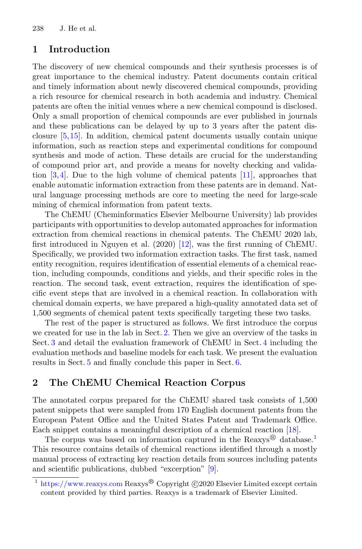### **1 Introduction**

The discovery of new chemical compounds and their synthesis processes is of great importance to the chemical industry. Patent documents contain critical and timely information about newly discovered chemical compounds, providing a rich resource for chemical research in both academia and industry. Chemical patents are often the initial venues where a new chemical compound is disclosed. Only a small proportion of chemical compounds are ever published in journals and these publications can be delayed by up to 3 years after the patent disclosure [\[5](#page-16-0)[,15](#page-17-0)]. In addition, chemical patent documents usually contain unique information, such as reaction steps and experimental conditions for compound synthesis and mode of action. These details are crucial for the understanding of compound prior art, and provide a means for novelty checking and validation  $[3,4]$  $[3,4]$ . Due to the high volume of chemical patents  $[11]$  $[11]$ , approaches that enable automatic information extraction from these patents are in demand. Natural language processing methods are core to meeting the need for large-scale mining of chemical information from patent texts.

The ChEMU (Cheminformatics Elsevier Melbourne University) lab provides participants with opportunities to develop automated approaches for information extraction from chemical reactions in chemical patents. The ChEMU 2020 lab, first introduced in Nguyen et al. (2020) [\[12\]](#page-17-2), was the first running of ChEMU. Specifically, we provided two information extraction tasks. The first task, named entity recognition, requires identification of essential elements of a chemical reaction, including compounds, conditions and yields, and their specific roles in the reaction. The second task, event extraction, requires the identification of specific event steps that are involved in a chemical reaction. In collaboration with chemical domain experts, we have prepared a high-quality annotated data set of 1,500 segments of chemical patent texts specifically targeting these two tasks.

The rest of the paper is structured as follows. We first introduce the corpus we created for use in the lab in Sect. [2.](#page-1-0) Then we give an overview of the tasks in Sect. [3](#page-6-0) and detail the evaluation framework of ChEMU in Sect. [4](#page-9-0) including the evaluation methods and baseline models for each task. We present the evaluation results in Sect. [5](#page-12-0) and finally conclude this paper in Sect. [6.](#page-16-3)

# <span id="page-1-0"></span>**2 The ChEMU Chemical Reaction Corpus**

The annotated corpus prepared for the ChEMU shared task consists of 1,500 patent snippets that were sampled from 170 English document patents from the European Patent Office and the United States Patent and Trademark Office. Each snippet contains a meaningful description of a chemical reaction [\[18](#page-17-3)].

The corpus was based on information captured in the  $\text{Reaxys}^{\circledR}$  database.<sup>[1](#page-1-1)</sup> This resource contains details of chemical reactions identified through a mostly manual process of extracting key reaction details from sources including patents and scientific publications, dubbed "excerption" [\[9](#page-17-4)].

<span id="page-1-1"></span> $1 \text{ https://www.reaxys.com}$  $1 \text{ https://www.reaxys.com}$  $1 \text{ https://www.reaxys.com}$  Reaxys $\textcircled{\tiny{B}}$  Copyright  $\textcircled{\tiny{C}}$ 2020 Elsevier Limited except certain content provided by third parties. Reaxys is a trademark of Elsevier Limited.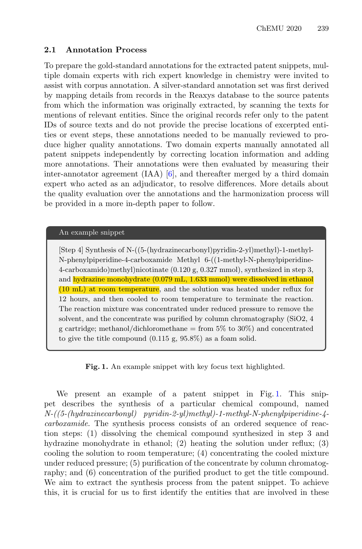#### **2.1 Annotation Process**

To prepare the gold-standard annotations for the extracted patent snippets, multiple domain experts with rich expert knowledge in chemistry were invited to assist with corpus annotation. A silver-standard annotation set was first derived by mapping details from records in the Reaxys database to the source patents from which the information was originally extracted, by scanning the texts for mentions of relevant entities. Since the original records refer only to the patent IDs of source texts and do not provide the precise locations of excerpted entities or event steps, these annotations needed to be manually reviewed to produce higher quality annotations. Two domain experts manually annotated all patent snippets independently by correcting location information and adding more annotations. Their annotations were then evaluated by measuring their inter-annotator agreement  $(IAA)$  [\[6](#page-17-5)], and thereafter merged by a third domain expert who acted as an adjudicator, to resolve differences. More details about the quality evaluation over the annotations and the harmonization process will be provided in a more in-depth paper to follow.

#### An example snippet

[Step 4] Synthesis of N-((5-(hydrazinecarbonyl)pyridin-2-yl)methyl)-1-methyl-N-phenylpiperidine-4-carboxamide Methyl 6-((1-methyl-N-phenylpiperidine-4-carboxamido)methyl)nicotinate (0.120 g, 0.327 mmol), synthesized in step 3, and hydrazine monohydrate (0.079 mL, 1.633 mmol) were dissolved in ethanol (10 mL) at room temperature, and the solution was heated under reflux for 12 hours, and then cooled to room temperature to terminate the reaction. The reaction mixture was concentrated under reduced pressure to remove the solvent, and the concentrate was purified by column chromatography (SiO2, 4 g cartridge; methanol/dichloromethane = from  $5\%$  to  $30\%$ ) and concentrated to give the title compound (0.115 g, 95.8%) as a foam solid.

<span id="page-2-0"></span>**Fig. 1.** An example snippet with key focus text highlighted.

We present an example of a patent snippet in Fig. [1.](#page-2-0) This snippet describes the synthesis of a particular chemical compound, named *N-((5-(hydrazinecarbonyl) pyridin-2-yl)methyl)-1-methyl-N-phenylpiperidine-4 carboxamide*. The synthesis process consists of an ordered sequence of reaction steps: (1) dissolving the chemical compound synthesized in step 3 and hydrazine monohydrate in ethanol; (2) heating the solution under reflux; (3) cooling the solution to room temperature; (4) concentrating the cooled mixture under reduced pressure; (5) purification of the concentrate by column chromatography; and (6) concentration of the purified product to get the title compound. We aim to extract the synthesis process from the patent snippet. To achieve this, it is crucial for us to first identify the entities that are involved in these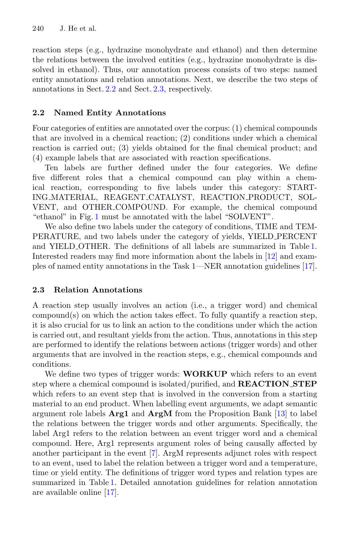reaction steps (e.g., hydrazine monohydrate and ethanol) and then determine the relations between the involved entities (e.g., hydrazine monohydrate is dissolved in ethanol). Thus, our annotation process consists of two steps: named entity annotations and relation annotations. Next, we describe the two steps of annotations in Sect. [2.2](#page-3-0) and Sect. [2.3,](#page-3-1) respectively.

# <span id="page-3-0"></span>**2.2 Named Entity Annotations**

Four categories of entities are annotated over the corpus: (1) chemical compounds that are involved in a chemical reaction; (2) conditions under which a chemical reaction is carried out; (3) yields obtained for the final chemical product; and (4) example labels that are associated with reaction specifications.

Ten labels are further defined under the four categories. We define five different roles that a chemical compound can play within a chemical reaction, corresponding to five labels under this category: START-ING MATERIAL, REAGENT CATALYST, REACTION PRODUCT, SOL-VENT, and OTHER COMPOUND. For example, the chemical compound "ethanol" in Fig. [1](#page-2-0) must be annotated with the label "SOLVENT".

We also define two labels under the category of conditions, TIME and TEM-PERATURE, and two labels under the category of yields, YIELD PERCENT and YIELD OTHER. The definitions of all labels are summarized in Table [1.](#page-4-0) Interested readers may find more information about the labels in [\[12](#page-17-2)] and examples of named entity annotations in the Task 1—NER annotation guidelines [\[17\]](#page-17-6).

# <span id="page-3-1"></span>**2.3 Relation Annotations**

A reaction step usually involves an action (i.e., a trigger word) and chemical compound(s) on which the action takes effect. To fully quantify a reaction step, it is also crucial for us to link an action to the conditions under which the action is carried out, and resultant yields from the action. Thus, annotations in this step are performed to identify the relations between actions (trigger words) and other arguments that are involved in the reaction steps, e.g., chemical compounds and conditions.

We define two types of trigger words: **WORKUP** which refers to an event step where a chemical compound is isolated/purified, and **REACTION STEP** which refers to an event step that is involved in the conversion from a starting material to an end product. When labelling event arguments, we adapt semantic argument role labels **Arg1** and **ArgM** from the Proposition Bank [\[13](#page-17-7)] to label the relations between the trigger words and other arguments. Specifically, the label Arg1 refers to the relation between an event trigger word and a chemical compound. Here, Arg1 represents argument roles of being causally affected by another participant in the event [\[7\]](#page-17-8). ArgM represents adjunct roles with respect to an event, used to label the relation between a trigger word and a temperature, time or yield entity. The definitions of trigger word types and relation types are summarized in Table [1.](#page-4-0) Detailed annotation guidelines for relation annotation are available online [\[17](#page-17-6)].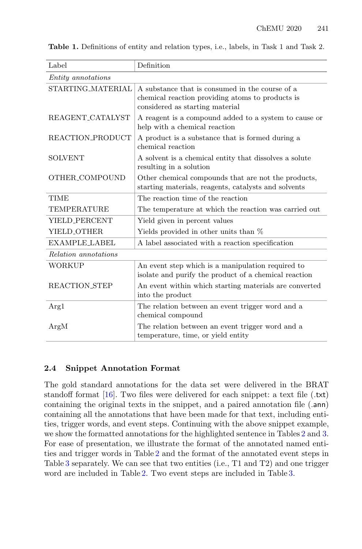| Label                     | Definition                                                                                                                             |
|---------------------------|----------------------------------------------------------------------------------------------------------------------------------------|
| <i>Entity</i> annotations |                                                                                                                                        |
| STARTING_MATERIAL         | A substance that is consumed in the course of a<br>chemical reaction providing atoms to products is<br>considered as starting material |
| REAGENT_CATALYST          | A reagent is a compound added to a system to cause or<br>help with a chemical reaction                                                 |
| REACTION PRODUCT          | A product is a substance that is formed during a<br>chemical reaction                                                                  |
| <b>SOLVENT</b>            | A solvent is a chemical entity that dissolves a solute<br>resulting in a solution                                                      |
| OTHER_COMPOUND            | Other chemical compounds that are not the products,<br>starting materials, reagents, catalysts and solvents                            |
| TIME                      | The reaction time of the reaction                                                                                                      |
| <b>TEMPERATURE</b>        | The temperature at which the reaction was carried out                                                                                  |
| YIELD PERCENT             | Yield given in percent values                                                                                                          |
| YIELD_OTHER               | Yields provided in other units than %                                                                                                  |
| <b>EXAMPLE_LABEL</b>      | A label associated with a reaction specification                                                                                       |
| Relation annotations      |                                                                                                                                        |
| WORKUP                    | An event step which is a manipulation required to<br>isolate and purify the product of a chemical reaction                             |
| REACTION_STEP             | An event within which starting materials are converted<br>into the product                                                             |
| Arg1                      | The relation between an event trigger word and a<br>chemical compound                                                                  |
| ArgM                      | The relation between an event trigger word and a<br>temperature, time, or yield entity                                                 |

<span id="page-4-0"></span>**Table 1.** Definitions of entity and relation types, i.e., labels, in Task 1 and Task 2.

#### **2.4 Snippet Annotation Format**

The gold standard annotations for the data set were delivered in the BRAT standoff format [\[16](#page-17-9)]. Two files were delivered for each snippet: a text file (.txt) containing the original texts in the snippet, and a paired annotation file (.ann) containing all the annotations that have been made for that text, including entities, trigger words, and event steps. Continuing with the above snippet example, we show the formatted annotations for the highlighted sentence in Tables [2](#page-5-0) and [3.](#page-5-1) For ease of presentation, we illustrate the format of the annotated named entities and trigger words in Table [2](#page-5-0) and the format of the annotated event steps in Table [3](#page-5-1) separately. We can see that two entities (i.e., T1 and T2) and one trigger word are included in Table [2.](#page-5-0) Two event steps are included in Table [3.](#page-5-1)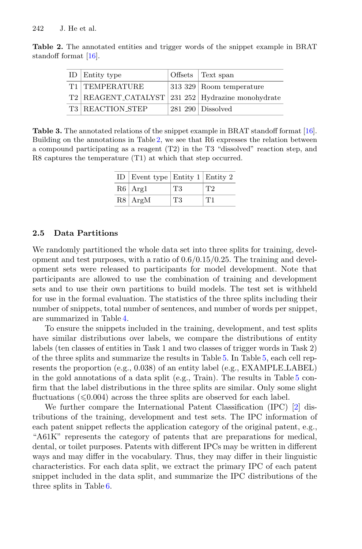<span id="page-5-0"></span>

| ID   Entity type                                  | Offsets Text span             |
|---------------------------------------------------|-------------------------------|
| T1 TEMPERATURE                                    | $ 313\;329 $ Room temperature |
| T2 REAGENT_CATALYST 231 252 Hydrazine monohydrate |                               |
| T3 REACTION_STEP                                  | $281290 \mid$ Dissolved       |

**Table 2.** The annotated entities and trigger words of the snippet example in BRAT standoff format [\[16](#page-17-9)].

<span id="page-5-1"></span>**Table 3.** The annotated relations of the snippet example in BRAT standoff format [\[16](#page-17-9)]. Building on the annotations in Table [2,](#page-5-0) we see that R6 expresses the relation between a compound participating as a reagent (T2) in the T3 "dissolved" reaction step, and R8 captures the temperature (T1) at which that step occurred.

| ID   Event type   Entity $1$   Entity $2$ |    |                           |
|-------------------------------------------|----|---------------------------|
| R6   Arg1                                 | T3 | $\mathsf{I} \mathsf{T} 2$ |
| R8   ArgM                                 | T3 | T1                        |

#### **2.5 Data Partitions**

We randomly partitioned the whole data set into three splits for training, development and test purposes, with a ratio of  $0.6/0.15/0.25$ . The training and development sets were released to participants for model development. Note that participants are allowed to use the combination of training and development sets and to use their own partitions to build models. The test set is withheld for use in the formal evaluation. The statistics of the three splits including their number of snippets, total number of sentences, and number of words per snippet, are summarized in Table [4.](#page-6-1)

To ensure the snippets included in the training, development, and test splits have similar distributions over labels, we compare the distributions of entity labels (ten classes of entities in Task 1 and two classes of trigger words in Task 2) of the three splits and summarize the results in Table [5.](#page-6-2) In Table [5,](#page-6-2) each cell represents the proportion (e.g., 0.038) of an entity label (e.g., EXAMPLE LABEL) in the gold annotations of a data split (e.g., Train). The results in Table [5](#page-6-2) confirm that the label distributions in the three splits are similar. Only some slight fluctuations  $(\leq 0.004)$  across the three splits are observed for each label.

We further compare the International Patent Classification (IPC) [\[2](#page-16-4)] distributions of the training, development and test sets. The IPC information of each patent snippet reflects the application category of the original patent, e.g., "A61K" represents the category of patents that are preparations for medical, dental, or toilet purposes. Patents with different IPCs may be written in different ways and may differ in the vocabulary. Thus, they may differ in their linguistic characteristics. For each data split, we extract the primary IPC of each patent snippet included in the data split, and summarize the IPC distributions of the three splits in Table [6.](#page-6-3)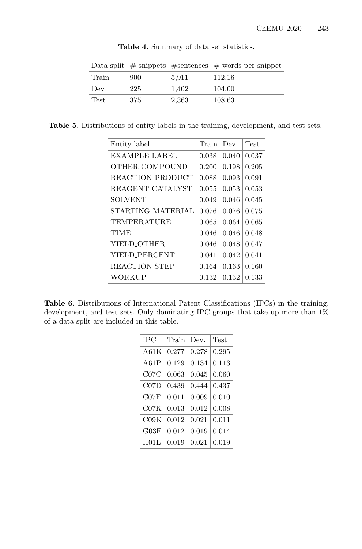|       |     |       | Data split $\#$ snippets $\#$ sentences $\#$ words per snippet |
|-------|-----|-------|----------------------------------------------------------------|
| Train | 900 | 5,911 | 112.16                                                         |
| Dev   | 225 | 1,402 | 104.00                                                         |
| Test  | 375 | 2,363 | 108.63                                                         |

<span id="page-6-1"></span>**Table 4.** Summary of data set statistics.

Table 5. Distributions of entity labels in the training, development, and test sets.

<span id="page-6-2"></span>

| Entity label         | Train | Dev.  | <b>Test</b> |
|----------------------|-------|-------|-------------|
| EXAMPLE LABEL        | 0.038 | 0.040 | 0.037       |
| OTHER COMPOUND       | 0.200 | 0.198 | 0.205       |
| REACTION_PRODUCT     | 0.088 | 0.093 | 0.091       |
| REAGENT CATALYST     | 0.055 | 0.053 | 0.053       |
| <b>SOLVENT</b>       | 0.049 | 0.046 | 0.045       |
| STARTING_MATERIAL    | 0.076 | 0.076 | 0.075       |
| TEMPERATURE          | 0.065 | 0.064 | 0.065       |
| <b>TIME</b>          | 0.046 | 0.046 | 0.048       |
| YIELD_OTHER          | 0.046 | 0.048 | 0.047       |
| YIELD PERCENT        | 0.041 | 0.042 | 0.041       |
| <b>REACTION STEP</b> | 0.164 | 0.163 | 0.160       |
| WORKUP               | 0.132 | 0.132 | 0.133       |

<span id="page-6-3"></span><span id="page-6-0"></span>**Table 6.** Distributions of International Patent Classifications (IPCs) in the training, development, and test sets. Only dominating IPC groups that take up more than 1% of a data split are included in this table.

| IPC     | Train | Dev.  | Test  |
|---------|-------|-------|-------|
| A61 $K$ | 0.277 | 0.278 | 0.295 |
| A61P    | 0.129 | 0.134 | 0.113 |
| C07C    | 0.063 | 0.045 | 0.060 |
| C07D    | 0.439 | 0.444 | 0.437 |
| C07F    | 0.011 | 0.009 | 0.010 |
| C07K    | 0.013 | 0.012 | 0.008 |
| C09K    | 0.012 | 0.021 | 0.011 |
| G03F    | 0.012 | 0.019 | 0.014 |
| H01L    | 0.019 | 0.021 | 0.019 |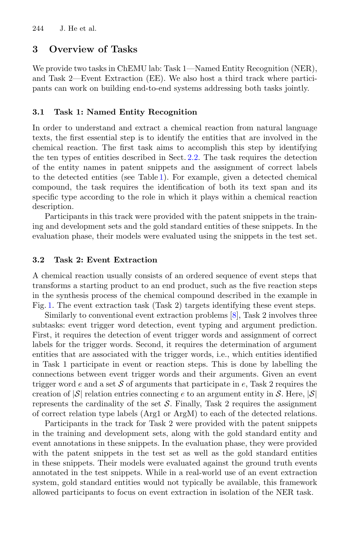### **3 Overview of Tasks**

We provide two tasks in ChEMU lab: Task 1—Named Entity Recognition (NER), and Task 2—Event Extraction (EE). We also host a third track where participants can work on building end-to-end systems addressing both tasks jointly.

#### **3.1 Task 1: Named Entity Recognition**

In order to understand and extract a chemical reaction from natural language texts, the first essential step is to identify the entities that are involved in the chemical reaction. The first task aims to accomplish this step by identifying the ten types of entities described in Sect. [2.2.](#page-3-0) The task requires the detection of the entity names in patent snippets and the assignment of correct labels to the detected entities (see Table [1\)](#page-4-0). For example, given a detected chemical compound, the task requires the identification of both its text span and its specific type according to the role in which it plays within a chemical reaction description.

Participants in this track were provided with the patent snippets in the training and development sets and the gold standard entities of these snippets. In the evaluation phase, their models were evaluated using the snippets in the test set.

#### <span id="page-7-0"></span>**3.2 Task 2: Event Extraction**

A chemical reaction usually consists of an ordered sequence of event steps that transforms a starting product to an end product, such as the five reaction steps in the synthesis process of the chemical compound described in the example in Fig. [1.](#page-2-0) The event extraction task (Task 2) targets identifying these event steps.

Similarly to conventional event extraction problems [\[8](#page-17-10)], Task 2 involves three subtasks: event trigger word detection, event typing and argument prediction. First, it requires the detection of event trigger words and assignment of correct labels for the trigger words. Second, it requires the determination of argument entities that are associated with the trigger words, i.e., which entities identified in Task 1 participate in event or reaction steps. This is done by labelling the connections between event trigger words and their arguments. Given an event trigger word *e* and a set S of arguments that participate in *e*, Task 2 requires the creation of  $|\mathcal{S}|$  relation entries connecting *e* to an argument entity in S. Here,  $|\mathcal{S}|$ represents the cardinality of the set  $S$ . Finally, Task 2 requires the assignment of correct relation type labels (Arg1 or ArgM) to each of the detected relations.

Participants in the track for Task 2 were provided with the patent snippets in the training and development sets, along with the gold standard entity and event annotations in these snippets. In the evaluation phase, they were provided with the patent snippets in the test set as well as the gold standard entities in these snippets. Their models were evaluated against the ground truth events annotated in the test snippets. While in a real-world use of an event extraction system, gold standard entities would not typically be available, this framework allowed participants to focus on event extraction in isolation of the NER task.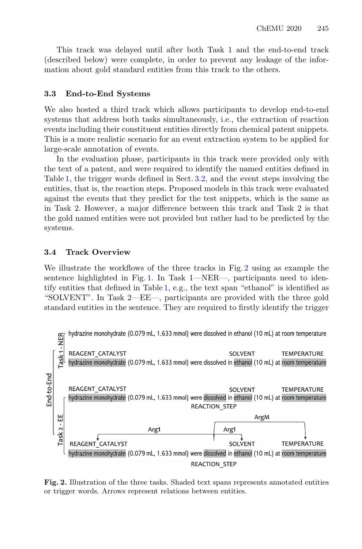This track was delayed until after both Task 1 and the end-to-end track (described below) were complete, in order to prevent any leakage of the information about gold standard entities from this track to the others.

#### **3.3 End-to-End Systems**

We also hosted a third track which allows participants to develop end-to-end systems that address both tasks simultaneously, i.e., the extraction of reaction events including their constituent entities directly from chemical patent snippets. This is a more realistic scenario for an event extraction system to be applied for large-scale annotation of events.

In the evaluation phase, participants in this track were provided only with the text of a patent, and were required to identify the named entities defined in Table [1,](#page-4-0) the trigger words defined in Sect. [3.2,](#page-7-0) and the event steps involving the entities, that is, the reaction steps. Proposed models in this track were evaluated against the events that they predict for the test snippets, which is the same as in Task 2. However, a major difference between this track and Task 2 is that the gold named entities were not provided but rather had to be predicted by the systems.

#### **3.4 Track Overview**

We illustrate the workflows of the three tracks in Fig. [2](#page-8-0) using as example the sentence highlighted in Fig. [1.](#page-2-0) In Task 1—NER—, participants need to identify entities that defined in Table [1,](#page-4-0) e.g., the text span "ethanol" is identified as "SOLVENT". In Task 2—EE—, participants are provided with the three gold standard entities in the sentence. They are required to firstly identify the trigger



<span id="page-8-0"></span>**Fig. 2.** Illustration of the three tasks. Shaded text spans represents annotated entities or trigger words. Arrows represent relations between entities.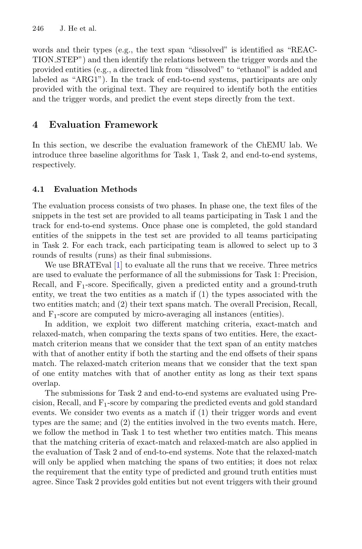words and their types (e.g., the text span "dissolved" is identified as "REAC-TION STEP") and then identify the relations between the trigger words and the provided entities (e.g., a directed link from "dissolved" to "ethanol" is added and labeled as "ARG1"). In the track of end-to-end systems, participants are only provided with the original text. They are required to identify both the entities and the trigger words, and predict the event steps directly from the text.

# <span id="page-9-0"></span>**4 Evaluation Framework**

In this section, we describe the evaluation framework of the ChEMU lab. We introduce three baseline algorithms for Task 1, Task 2, and end-to-end systems, respectively.

# **4.1 Evaluation Methods**

The evaluation process consists of two phases. In phase one, the text files of the snippets in the test set are provided to all teams participating in Task 1 and the track for end-to-end systems. Once phase one is completed, the gold standard entities of the snippets in the test set are provided to all teams participating in Task 2. For each track, each participating team is allowed to select up to 3 rounds of results (runs) as their final submissions.

We use BRATEval [\[1](#page-16-5)] to evaluate all the runs that we receive. Three metrics are used to evaluate the performance of all the submissions for Task 1: Precision, Recall, and  $F_1$ -score. Specifically, given a predicted entity and a ground-truth entity, we treat the two entities as a match if (1) the types associated with the two entities match; and (2) their text spans match. The overall Precision, Recall, and  $F_1$ -score are computed by micro-averaging all instances (entities).

In addition, we exploit two different matching criteria, exact-match and relaxed-match, when comparing the texts spans of two entities. Here, the exactmatch criterion means that we consider that the text span of an entity matches with that of another entity if both the starting and the end offsets of their spans match. The relaxed-match criterion means that we consider that the text span of one entity matches with that of another entity as long as their text spans overlap.

The submissions for Task 2 and end-to-end systems are evaluated using Precision, Recall, and F1-score by comparing the predicted events and gold standard events. We consider two events as a match if (1) their trigger words and event types are the same; and (2) the entities involved in the two events match. Here, we follow the method in Task 1 to test whether two entities match. This means that the matching criteria of exact-match and relaxed-match are also applied in the evaluation of Task 2 and of end-to-end systems. Note that the relaxed-match will only be applied when matching the spans of two entities; it does not relax the requirement that the entity type of predicted and ground truth entities must agree. Since Task 2 provides gold entities but not event triggers with their ground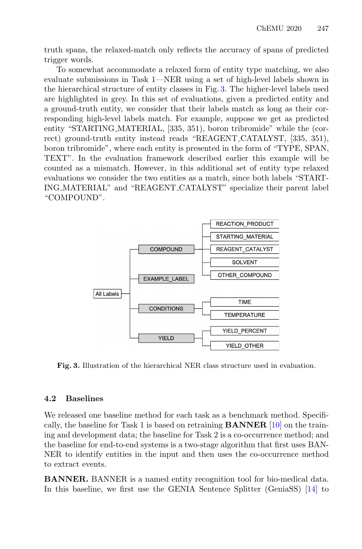truth spans, the relaxed-match only reflects the accuracy of spans of predicted trigger words.

To somewhat accommodate a relaxed form of entity type matching, we also evaluate submissions in Task 1—NER using a set of high-level labels shown in the hierarchical structure of entity classes in Fig. [3.](#page-10-0) The higher-level labels used are highlighted in grey. In this set of evaluations, given a predicted entity and a ground-truth entity, we consider that their labels match as long as their corresponding high-level labels match. For example, suppose we get as predicted entity "STARTING\_MATERIAL, [335, 351), boron tribromide" while the (correct) ground-truth entity instead reads "REAGENT CATALYST, [335, 351), boron tribromide", where each entity is presented in the form of "TYPE, SPAN, TEXT". In the evaluation framework described earlier this example will be counted as a mismatch. However, in this additional set of entity type relaxed evaluations we consider the two entities as a match, since both labels "START-ING MATERIAL" and "REAGENT CATALYST" specialize their parent label "COMPOUND".



<span id="page-10-0"></span>**Fig. 3.** Illustration of the hierarchical NER class structure used in evaluation.

#### **4.2 Baselines**

We released one baseline method for each task as a benchmark method. Specifically, the baseline for Task 1 is based on retraining **BANNER** [\[10\]](#page-17-11) on the training and development data; the baseline for Task 2 is a co-occurrence method; and the baseline for end-to-end systems is a two-stage algorithm that first uses BAN-NER to identify entities in the input and then uses the co-occurrence method to extract events.

**BANNER.** BANNER is a named entity recognition tool for bio-medical data. In this baseline, we first use the GENIA Sentence Splitter (GeniaSS) [\[14](#page-17-12)] to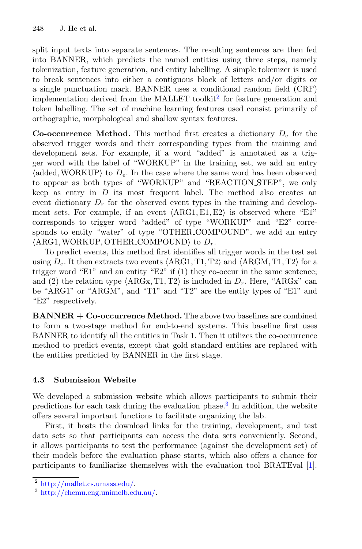split input texts into separate sentences. The resulting sentences are then fed into BANNER, which predicts the named entities using three steps, namely tokenization, feature generation, and entity labelling. A simple tokenizer is used to break sentences into either a contiguous block of letters and/or digits or a single punctuation mark. BANNER uses a conditional random field (CRF) implementation derived from the MALLET toolkit<sup>[2](#page-11-0)</sup> for feature generation and token labelling. The set of machine learning features used consist primarily of orthographic, morphological and shallow syntax features.

**Co-occurrence Method.** This method first creates a dictionary *D<sup>e</sup>* for the observed trigger words and their corresponding types from the training and development sets. For example, if a word "added" is annotated as a trigger word with the label of "WORKUP" in the training set, we add an entry  $\langle \text{added}, \text{WORKUP} \rangle$  to  $D_e$ . In the case where the same word has been observed to appear as both types of "WORKUP" and "REACTION STEP", we only keep as entry in *D* its most frequent label. The method also creates an event dictionary  $D_r$  for the observed event types in the training and development sets. For example, if an event  $\langle \text{ARG1}, \text{E1}, \text{E2} \rangle$  is observed where "E1" corresponds to trigger word "added" of type "WORKUP" and "E2" corresponds to entity "water" of type "OTHER COMPOUND", we add an entry  $\langle \text{ARG1}, \text{WORKUP}, \text{OTHER\_COMPOUND} \rangle$  to  $D_r$ .

To predict events, this method first identifies all trigger words in the test set using  $D_e$ . It then extracts two events  $\langle \text{ARG1}, \text{T1}, \text{T2} \rangle$  and  $\langle \text{ARGM}, \text{T1}, \text{T2} \rangle$  for a trigger word "E1" and an entity "E2" if  $(1)$  they co-occur in the same sentence; and (2) the relation type  $\langle \text{ARGx}, \text{T1}, \text{T2} \rangle$  is included in  $D_r$ . Here, "ARGx" can be "ARG1" or "ARGM", and "T1" and "T2" are the entity types of "E1" and "E2" respectively.

**BANNER + Co-occurrence Method.** The above two baselines are combined to form a two-stage method for end-to-end systems. This baseline first uses BANNER to identify all the entities in Task 1. Then it utilizes the co-occurrence method to predict events, except that gold standard entities are replaced with the entities predicted by BANNER in the first stage.

# **4.3 Submission Website**

We developed a submission website which allows participants to submit their predictions for each task during the evaluation phase.[3](#page-11-1) In addition, the website offers several important functions to facilitate organizing the lab.

First, it hosts the download links for the training, development, and test data sets so that participants can access the data sets conveniently. Second, it allows participants to test the performance (against the development set) of their models before the evaluation phase starts, which also offers a chance for participants to familiarize themselves with the evaluation tool BRATEval [\[1\]](#page-16-5).

<span id="page-11-0"></span> $2$  [http://mallet.cs.umass.edu/.](http://mallet.cs.umass.edu/)

<span id="page-11-1"></span><sup>3</sup> [http://chemu.eng.unimelb.edu.au/.](http://chemu.eng.unimelb.edu.au/)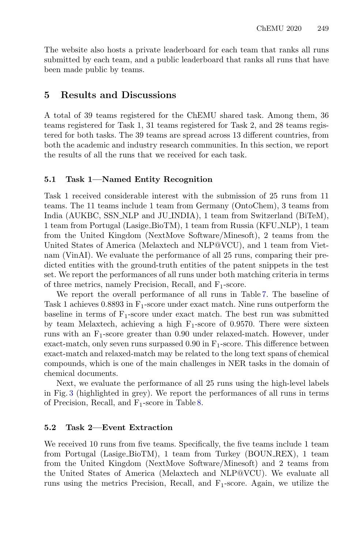The website also hosts a private leaderboard for each team that ranks all runs submitted by each team, and a public leaderboard that ranks all runs that have been made public by teams.

# <span id="page-12-0"></span>**5 Results and Discussions**

A total of 39 teams registered for the ChEMU shared task. Among them, 36 teams registered for Task 1, 31 teams registered for Task 2, and 28 teams registered for both tasks. The 39 teams are spread across 13 different countries, from both the academic and industry research communities. In this section, we report the results of all the runs that we received for each task.

#### **5.1 Task 1—Named Entity Recognition**

Task 1 received considerable interest with the submission of 25 runs from 11 teams. The 11 teams include 1 team from Germany (OntoChem), 3 teams from India (AUKBC, SSN NLP and JU INDIA), 1 team from Switzerland (BiTeM), 1 team from Portugal (Lasige BioTM), 1 team from Russia (KFU NLP), 1 team from the United Kingdom (NextMove Software/Minesoft), 2 teams from the United States of America (Melaxtech and NLP@VCU), and 1 team from Vietnam (VinAI). We evaluate the performance of all 25 runs, comparing their predicted entities with the ground-truth entities of the patent snippets in the test set. We report the performances of all runs under both matching criteria in terms of three metrics, namely Precision, Recall, and F1-score.

We report the overall performance of all runs in Table [7.](#page-13-0) The baseline of Task 1 achieves 0.8893 in  $F_1$ -score under exact match. Nine runs outperform the baseline in terms of  $F_1$ -score under exact match. The best run was submitted by team Melaxtech, achieving a high  $F_1$ -score of 0.9570. There were sixteen runs with an  $F_1$ -score greater than 0.90 under relaxed-match. However, under exact-match, only seven runs surpassed  $0.90$  in  $F_1$ -score. This difference between exact-match and relaxed-match may be related to the long text spans of chemical compounds, which is one of the main challenges in NER tasks in the domain of chemical documents.

Next, we evaluate the performance of all 25 runs using the high-level labels in Fig. [3](#page-10-0) (highlighted in grey). We report the performances of all runs in terms of Precision, Recall, and  $F_1$ -score in Table [8.](#page-14-0)

### **5.2 Task 2—Event Extraction**

We received 10 runs from five teams. Specifically, the five teams include 1 team from Portugal (Lasige BioTM), 1 team from Turkey (BOUN REX), 1 team from the United Kingdom (NextMove Software/Minesoft) and 2 teams from the United States of America (Melaxtech and NLP@VCU). We evaluate all runs using the metrics Precision, Recall, and  $F_1$ -score. Again, we utilize the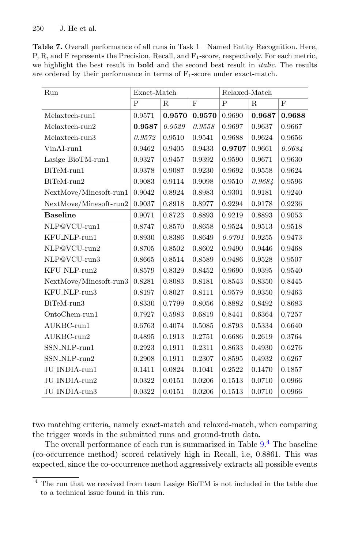<span id="page-13-0"></span>**Table 7.** Overall performance of all runs in Task 1—Named Entity Recognition. Here, P, R, and F represents the Precision, Recall, and F<sub>1</sub>-score, respectively. For each metric, we highlight the best result in **bold** and the second best result in *italic*. The results are ordered by their performance in terms of  $F_1$ -score under exact-match.

| Run                            | Exact-Match |             |        | Relaxed-Match |             |            |
|--------------------------------|-------------|-------------|--------|---------------|-------------|------------|
|                                | P           | $\mathbf R$ | F      | P             | $\mathbf R$ | F          |
| Melaxtech-run1                 | 0.9571      | 0.9570      | 0.9570 | 0.9690        | 0.9687      | 0.9688     |
| Melaxtech-run2                 | 0.9587      | 0.9529      | 0.9558 | 0.9697        | 0.9637      | 0.9667     |
| Melaxtech-run3                 | 0.9572      | 0.9510      | 0.9541 | 0.9688        | 0.9624      | 0.9656     |
| $V$ inAI-run $1$               | 0.9462      | 0.9405      | 0.9433 | 0.9707        | 0.9661      | 0.9684     |
| Lasige_BioTM-run1              | 0.9327      | 0.9457      | 0.9392 | 0.9590        | 0.9671      | 0.9630     |
| BiTeM-run1                     | 0.9378      | 0.9087      | 0.9230 | 0.9692        | 0.9558      | ${0.9624}$ |
| BiTeM-run2                     | 0.9083      | 0.9114      | 0.9098 | 0.9510        | 0.9684      | 0.9596     |
| NextMove/Minesoft-run1         | 0.9042      | 0.8924      | 0.8983 | 0.9301        | 0.9181      | 0.9240     |
| NextMove/Minesoft-run2         | 0.9037      | 0.8918      | 0.8977 | 0.9294        | 0.9178      | 0.9236     |
| <b>Baseline</b>                | 0.9071      | 0.8723      | 0.8893 | 0.9219        | 0.8893      | 0.9053     |
| NLP@VCU-run1                   | 0.8747      | 0.8570      | 0.8658 | 0.9524        | 0.9513      | 0.9518     |
| KFU_NLP-run1                   | 0.8930      | 0.8386      | 0.8649 | 0.9701        | 0.9255      | 0.9473     |
| NLP@VCU-run2                   | 0.8705      | 0.8502      | 0.8602 | 0.9490        | 0.9446      | 0.9468     |
| NLP@VCU-run3                   | 0.8665      | 0.8514      | 0.8589 | 0.9486        | 0.9528      | 0.9507     |
| KFU_NLP-run2                   | 0.8579      | 0.8329      | 0.8452 | 0.9690        | 0.9395      | 0.9540     |
| ${\sf NextMove/Minesoft-run3}$ | 0.8281      | 0.8083      | 0.8181 | 0.8543        | 0.8350      | 0.8445     |
| KFU_NLP-run3                   | 0.8197      | 0.8027      | 0.8111 | 0.9579        | 0.9350      | 0.9463     |
| BiTeM-run3                     | 0.8330      | 0.7799      | 0.8056 | 0.8882        | 0.8492      | 0.8683     |
| OntoChem-run1                  | 0.7927      | 0.5983      | 0.6819 | 0.8441        | 0.6364      | 0.7257     |
| AUKBC-run1                     | 0.6763      | 0.4074      | 0.5085 | 0.8793        | 0.5334      | 0.6640     |
| AUKBC-run2                     | 0.4895      | 0.1913      | 0.2751 | 0.6686        | 0.2619      | 0.3764     |
| SSN_NLP-run1                   | 0.2923      | 0.1911      | 0.2311 | 0.8633        | 0.4930      | 0.6276     |
| SSN_NLP-run2                   | 0.2908      | 0.1911      | 0.2307 | 0.8595        | 0.4932      | 0.6267     |
| JU_INDIA-run1                  | 0.1411      | 0.0824      | 0.1041 | 0.2522        | 0.1470      | 0.1857     |
| JU_INDIA-run2                  | 0.0322      | 0.0151      | 0.0206 | 0.1513        | 0.0710      | 0.0966     |
| JU_INDIA-run3                  | 0.0322      | 0.0151      | 0.0206 | 0.1513        | 0.0710      | 0.0966     |

two matching criteria, namely exact-match and relaxed-match, when comparing the trigger words in the submitted runs and ground-truth data.

The overall performance of each run is summarized in Table [9.](#page-15-0) [4](#page-13-1) The baseline (co-occurrence method) scored relatively high in Recall, i.e, 0.8861. This was expected, since the co-occurrence method aggressively extracts all possible events

<span id="page-13-1"></span><sup>&</sup>lt;sup>4</sup> The run that we received from team Lasige\_BioTM is not included in the table due to a technical issue found in this run.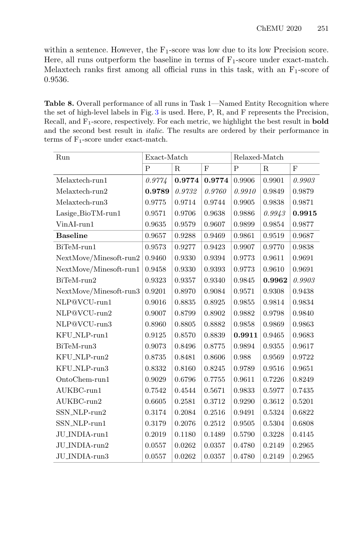within a sentence. However, the  $F_1$ -score was low due to its low Precision score. Here, all runs outperform the baseline in terms of  $F_1$ -score under exact-match. Melaxtech ranks first among all official runs in this task, with an  $F_1$ -score of 0.9536.

<span id="page-14-0"></span>**Table 8.** Overall performance of all runs in Task 1—Named Entity Recognition where the set of high-level labels in Fig. [3](#page-10-0) is used. Here, P, R, and F represents the Precision, Recall, and F1-score, respectively. For each metric, we highlight the best result in **bold** and the second best result in *italic*. The results are ordered by their performance in terms of  $F_1$ -score under exact-match.

| Run                    | Exact-Match |             |        | Relaxed-Match |             |        |
|------------------------|-------------|-------------|--------|---------------|-------------|--------|
|                        | P           | $\mathbf R$ | F      | P             | $\mathbf R$ | F      |
| Melaxtech-run1         | 0.9774      | 0.9774      | 0.9774 | 0.9906        | 0.9901      | 0.9903 |
| Melaxtech-run2         | 0.9789      | 0.9732      | 0.9760 | 0.9910        | 0.9849      | 0.9879 |
| Melaxtech-run3         | 0.9775      | 0.9714      | 0.9744 | 0.9905        | 0.9838      | 0.9871 |
| Lasige_BioTM-run1      | 0.9571      | 0.9706      | 0.9638 | 0.9886        | 0.9943      | 0.9915 |
| VinAI-run1             | 0.9635      | 0.9579      | 0.9607 | 0.9899        | 0.9854      | 0.9877 |
| <b>Baseline</b>        | 0.9657      | 0.9288      | 0.9469 | 0.9861        | 0.9519      | 0.9687 |
| BiTeM-run1             | 0.9573      | 0.9277      | 0.9423 | 0.9907        | 0.9770      | 0.9838 |
| NextMove/Minesoft-run2 | 0.9460      | 0.9330      | 0.9394 | 0.9773        | 0.9611      | 0.9691 |
| NextMove/Minesoft-run1 | 0.9458      | 0.9330      | 0.9393 | 0.9773        | 0.9610      | 0.9691 |
| BiTeM-run2             | 0.9323      | 0.9357      | 0.9340 | 0.9845        | 0.9962      | 0.9903 |
| NextMove/Minesoft-run3 | 0.9201      | 0.8970      | 0.9084 | 0.9571        | 0.9308      | 0.9438 |
| NLP@VCU-run1           | 0.9016      | 0.8835      | 0.8925 | 0.9855        | 0.9814      | 0.9834 |
| NLP@VCU-run2           | 0.9007      | 0.8799      | 0.8902 | 0.9882        | 0.9798      | 0.9840 |
| NLP@VCU-run3           | 0.8960      | 0.8805      | 0.8882 | 0.9858        | 0.9869      | 0.9863 |
| KFU_NLP-run1           | 0.9125      | 0.8570      | 0.8839 | 0.9911        | 0.9465      | 0.9683 |
| BiTeM-run3             | 0.9073      | 0.8496      | 0.8775 | 0.9894        | 0.9355      | 0.9617 |
| KFU_NLP-run2           | 0.8735      | 0.8481      | 0.8606 | 0.988         | 0.9569      | 0.9722 |
| KFU_NLP-run3           | 0.8332      | 0.8160      | 0.8245 | 0.9789        | 0.9516      | 0.9651 |
| OntoChem-run1          | 0.9029      | 0.6796      | 0.7755 | 0.9611        | 0.7226      | 0.8249 |
| AUKBC-run1             | 0.7542      | 0.4544      | 0.5671 | 0.9833        | 0.5977      | 0.7435 |
| AUKBC-run2             | 0.6605      | 0.2581      | 0.3712 | 0.9290        | 0.3612      | 0.5201 |
| SSN_NLP-run2           | 0.3174      | 0.2084      | 0.2516 | 0.9491        | 0.5324      | 0.6822 |
| SSN_NLP-run1           | 0.3179      | 0.2076      | 0.2512 | 0.9505        | 0.5304      | 0.6808 |
| JU_INDIA-run1          | 0.2019      | 0.1180      | 0.1489 | 0.5790        | 0.3228      | 0.4145 |
| JU_INDIA-run2          | 0.0557      | 0.0262      | 0.0357 | 0.4780        | 0.2149      | 0.2965 |
| JU_INDIA-run3          | 0.0557      | 0.0262      | 0.0357 | 0.4780        | 0.2149      | 0.2965 |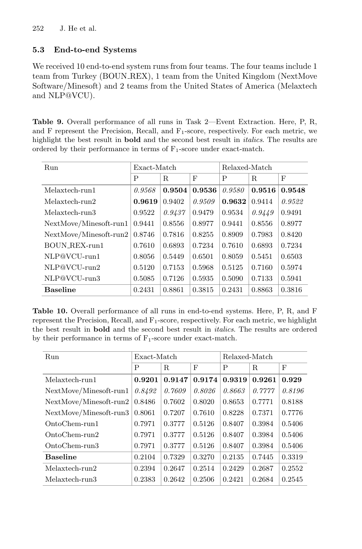# **5.3 End-to-end Systems**

We received 10 end-to-end system runs from four teams. The four teams include 1 team from Turkey (BOUN REX), 1 team from the United Kingdom (NextMove Software/Minesoft) and 2 teams from the United States of America (Melaxtech and NLP@VCU).

<span id="page-15-0"></span>**Table 9.** Overall performance of all runs in Task 2—Event Extraction. Here, P, R, and F represent the Precision, Recall, and  $F_1$ -score, respectively. For each metric, we highlight the best result in **bold** and the second best result in *italics*. The results are ordered by their performance in terms of  $F_1$ -score under exact-match.

| Run                    | Exact-Match |             |        | Relaxed-Match |             |        |
|------------------------|-------------|-------------|--------|---------------|-------------|--------|
|                        | P           | $\mathbf R$ | F      | P             | $\mathbf R$ | F      |
| Melaxtech-run1         | 0.9568      | 0.9504      | 0.9536 | 0.9580        | 0.9516      | 0.9548 |
| Melaxtech-run2         | 0.9619      | 0.9402      | 0.9509 | 0.9632        | 0.9414      | 0.9522 |
| Melaxtech-run3         | 0.9522      | 0.9437      | 0.9479 | 0.9534        | 0.9449      | 0.9491 |
| NextMove/Minesoft-run1 | 0.9441      | 0.8556      | 0.8977 | 0.9441        | 0.8556      | 0.8977 |
| NextMove/Minesoft-run2 | 0.8746      | 0.7816      | 0.8255 | 0.8909        | 0.7983      | 0.8420 |
| BOUN_REX-run1          | 0.7610      | 0.6893      | 0.7234 | 0.7610        | 0.6893      | 0.7234 |
| NLP@VCU-run1           | 0.8056      | 0.5449      | 0.6501 | 0.8059        | 0.5451      | 0.6503 |
| NLP@VCU-run2           | 0.5120      | 0.7153      | 0.5968 | 0.5125        | 0.7160      | 0.5974 |
| NLP@VCU-run3           | 0.5085      | 0.7126      | 0.5935 | 0.5090        | 0.7133      | 0.5941 |
| <b>Baseline</b>        | 0.2431      | 0.8861      | 0.3815 | 0.2431        | 0.8863      | 0.3816 |

<span id="page-15-1"></span>**Table 10.** Overall performance of all runs in end-to-end systems. Here, P, R, and F represent the Precision, Recall, and  $F_1$ -score, respectively. For each metric, we highlight the best result in **bold** and the second best result in *italics*. The results are ordered by their performance in terms of  $F_1$ -score under exact-match.

| Run                      | Exact-Match |        |        | Relaxed-Match |        |            |
|--------------------------|-------------|--------|--------|---------------|--------|------------|
|                          | P           | R      | F      | P             | R      | $_{\rm F}$ |
| Melaxtech-run1           | 0.9201      | 0.9147 | 0.9174 | 0.9319        | 0.9261 | 0.929      |
| NextMove/Minesoft-run1   | 0.8492      | 0.7609 | 0.8026 | 0.8663        | 0.7777 | 0.8196     |
| $NextMove/Minesoft-run2$ | 0.8486      | 0.7602 | 0.8020 | 0.8653        | 0.7771 | 0.8188     |
| NextMove/Minesoft-run3   | 0.8061      | 0.7207 | 0.7610 | 0.8228        | 0.7371 | 0.7776     |
| $OntoChem-run1$          | 0.7971      | 0.3777 | 0.5126 | 0.8407        | 0.3984 | 0.5406     |
| $OntoChem-run2$          | 0.7971      | 0.3777 | 0.5126 | 0.8407        | 0.3984 | 0.5406     |
| OntoChem-run3            | 0.7971      | 0.3777 | 0.5126 | 0.8407        | 0.3984 | 0.5406     |
| <b>Baseline</b>          | 0.2104      | 0.7329 | 0.3270 | 0.2135        | 0.7445 | 0.3319     |
| Melaxtech-run2           | 0.2394      | 0.2647 | 0.2514 | 0.2429        | 0.2687 | 0.2552     |
| Melaxtech-run3           | 0.2383      | 0.2642 | 0.2506 | 0.2421        | 0.2684 | 0.2545     |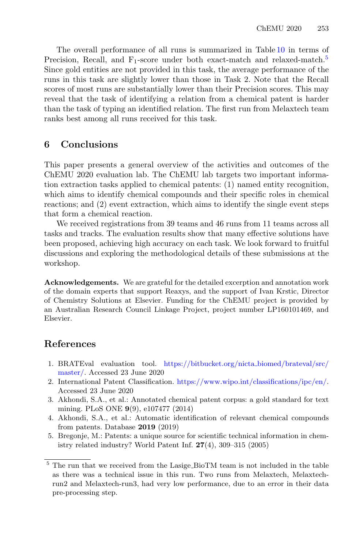The overall performance of all runs is summarized in Table [10](#page-15-1) in terms of Precision, Recall, and  $F_1$ -score under both exact-match and relaxed-match.<sup>[5](#page-16-6)</sup> Since gold entities are not provided in this task, the average performance of the runs in this task are slightly lower than those in Task 2. Note that the Recall scores of most runs are substantially lower than their Precision scores. This may reveal that the task of identifying a relation from a chemical patent is harder than the task of typing an identified relation. The first run from Melaxtech team ranks best among all runs received for this task.

# <span id="page-16-3"></span>**6 Conclusions**

This paper presents a general overview of the activities and outcomes of the ChEMU 2020 evaluation lab. The ChEMU lab targets two important information extraction tasks applied to chemical patents: (1) named entity recognition, which aims to identify chemical compounds and their specific roles in chemical reactions; and (2) event extraction, which aims to identify the single event steps that form a chemical reaction.

We received registrations from 39 teams and 46 runs from 11 teams across all tasks and tracks. The evaluation results show that many effective solutions have been proposed, achieving high accuracy on each task. We look forward to fruitful discussions and exploring the methodological details of these submissions at the workshop.

**Acknowledgements.** We are grateful for the detailed excerption and annotation work of the domain experts that support Reaxys, and the support of Ivan Krstic, Director of Chemistry Solutions at Elsevier. Funding for the ChEMU project is provided by an Australian Research Council Linkage Project, project number LP160101469, and Elsevier.

# **References**

- <span id="page-16-5"></span>1. BRATEval evaluation tool. [https://bitbucket.org/nicta](https://bitbucket.org/nicta_biomed/brateval/src/master/) biomed/brateval/src/ [master/.](https://bitbucket.org/nicta_biomed/brateval/src/master/) Accessed 23 June 2020
- <span id="page-16-4"></span>2. International Patent Classification. [https://www.wipo.int/classifications/ipc/en/.](https://www.wipo.int/classifications/ipc/en/) Accessed 23 June 2020
- <span id="page-16-1"></span>3. Akhondi, S.A., et al.: Annotated chemical patent corpus: a gold standard for text mining. PLoS ONE **9**(9), e107477 (2014)
- <span id="page-16-2"></span>4. Akhondi, S.A., et al.: Automatic identification of relevant chemical compounds from patents. Database **2019** (2019)
- <span id="page-16-0"></span>5. Bregonje, M.: Patents: a unique source for scientific technical information in chemistry related industry? World Patent Inf. **27**(4), 309–315 (2005)

<span id="page-16-6"></span> $^5$  The run that we received from the Lasige\_BioTM team is not included in the table as there was a technical issue in this run. Two runs from Melaxtech, Melaxtechrun2 and Melaxtech-run3, had very low performance, due to an error in their data pre-processing step.